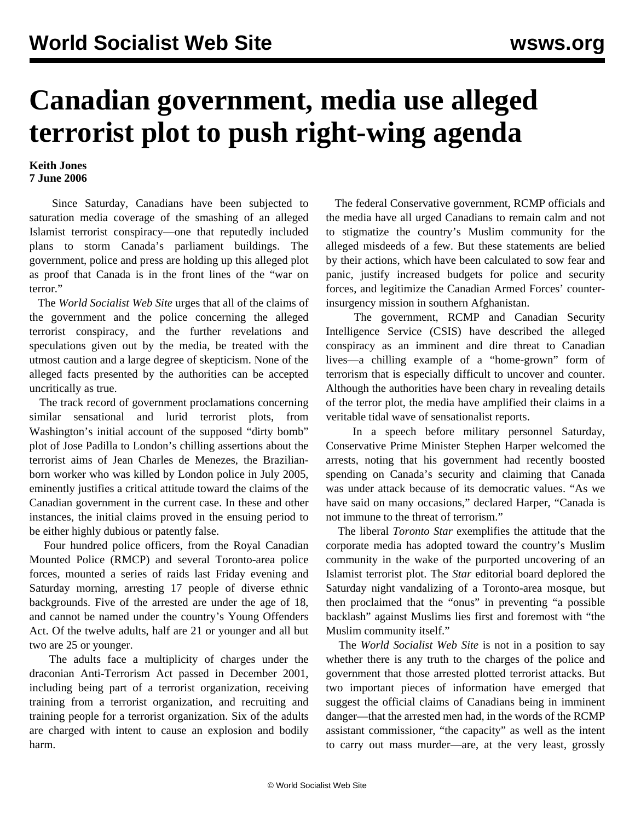## **Canadian government, media use alleged terrorist plot to push right-wing agenda**

## **Keith Jones 7 June 2006**

 Since Saturday, Canadians have been subjected to saturation media coverage of the smashing of an alleged Islamist terrorist conspiracy—one that reputedly included plans to storm Canada's parliament buildings. The government, police and press are holding up this alleged plot as proof that Canada is in the front lines of the "war on terror<sup>"</sup>

 The *World Socialist Web Site* urges that all of the claims of the government and the police concerning the alleged terrorist conspiracy, and the further revelations and speculations given out by the media, be treated with the utmost caution and a large degree of skepticism. None of the alleged facts presented by the authorities can be accepted uncritically as true.

 The track record of government proclamations concerning similar sensational and lurid terrorist plots, from Washington's initial account of the supposed "dirty bomb" plot of Jose Padilla to London's chilling assertions about the terrorist aims of Jean Charles de Menezes, the Brazilianborn worker who was killed by London police in July 2005, eminently justifies a critical attitude toward the claims of the Canadian government in the current case. In these and other instances, the initial claims proved in the ensuing period to be either highly dubious or patently false.

 Four hundred police officers, from the Royal Canadian Mounted Police (RMCP) and several Toronto-area police forces, mounted a series of raids last Friday evening and Saturday morning, arresting 17 people of diverse ethnic backgrounds. Five of the arrested are under the age of 18, and cannot be named under the country's Young Offenders Act. Of the twelve adults, half are 21 or younger and all but two are 25 or younger.

 The adults face a multiplicity of charges under the draconian Anti-Terrorism Act passed in December 2001, including being part of a terrorist organization, receiving training from a terrorist organization, and recruiting and training people for a terrorist organization. Six of the adults are charged with intent to cause an explosion and bodily harm.

 The federal Conservative government, RCMP officials and the media have all urged Canadians to remain calm and not to stigmatize the country's Muslim community for the alleged misdeeds of a few. But these statements are belied by their actions, which have been calculated to sow fear and panic, justify increased budgets for police and security forces, and legitimize the Canadian Armed Forces' counterinsurgency mission in southern Afghanistan.

 The government, RCMP and Canadian Security Intelligence Service (CSIS) have described the alleged conspiracy as an imminent and dire threat to Canadian lives—a chilling example of a "home-grown" form of terrorism that is especially difficult to uncover and counter. Although the authorities have been chary in revealing details of the terror plot, the media have amplified their claims in a veritable tidal wave of sensationalist reports.

 In a speech before military personnel Saturday, Conservative Prime Minister Stephen Harper welcomed the arrests, noting that his government had recently boosted spending on Canada's security and claiming that Canada was under attack because of its democratic values. "As we have said on many occasions," declared Harper, "Canada is not immune to the threat of terrorism."

 The liberal *Toronto Star* exemplifies the attitude that the corporate media has adopted toward the country's Muslim community in the wake of the purported uncovering of an Islamist terrorist plot. The *Star* editorial board deplored the Saturday night vandalizing of a Toronto-area mosque, but then proclaimed that the "onus" in preventing "a possible backlash" against Muslims lies first and foremost with "the Muslim community itself."

 The *World Socialist Web Site* is not in a position to say whether there is any truth to the charges of the police and government that those arrested plotted terrorist attacks. But two important pieces of information have emerged that suggest the official claims of Canadians being in imminent danger—that the arrested men had, in the words of the RCMP assistant commissioner, "the capacity" as well as the intent to carry out mass murder—are, at the very least, grossly